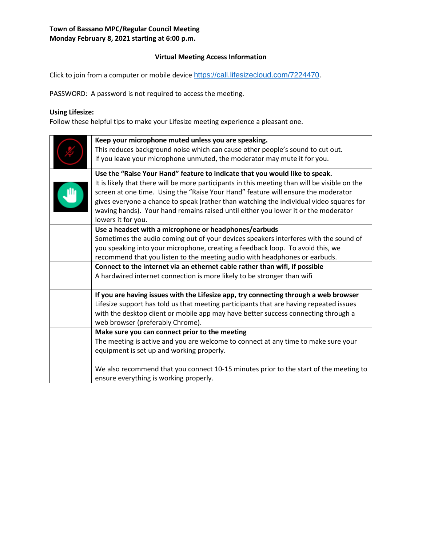### **Virtual Meeting Access Information**

Click to join from a computer or mobile device [https://call.lifesizecloud.com/7224470.](https://call.lifesizecloud.com/7224470)

PASSWORD: A password is not required to access the meeting.

# **Using Lifesize:**

Follow these helpful tips to make your Lifesize meeting experience a pleasant one.

| Keep your microphone muted unless you are speaking.<br>This reduces background noise which can cause other people's sound to cut out.<br>If you leave your microphone unmuted, the moderator may mute it for you.                                                                                                                                                                                                                                                        |
|--------------------------------------------------------------------------------------------------------------------------------------------------------------------------------------------------------------------------------------------------------------------------------------------------------------------------------------------------------------------------------------------------------------------------------------------------------------------------|
| Use the "Raise Your Hand" feature to indicate that you would like to speak.<br>It is likely that there will be more participants in this meeting than will be visible on the<br>screen at one time. Using the "Raise Your Hand" feature will ensure the moderator<br>gives everyone a chance to speak (rather than watching the individual video squares for<br>waving hands). Your hand remains raised until either you lower it or the moderator<br>lowers it for you. |
| Use a headset with a microphone or headphones/earbuds<br>Sometimes the audio coming out of your devices speakers interferes with the sound of<br>you speaking into your microphone, creating a feedback loop. To avoid this, we<br>recommend that you listen to the meeting audio with headphones or earbuds.<br>Connect to the internet via an ethernet cable rather than wifi, if possible<br>A hardwired internet connection is more likely to be stronger than wifi  |
| If you are having issues with the Lifesize app, try connecting through a web browser<br>Lifesize support has told us that meeting participants that are having repeated issues<br>with the desktop client or mobile app may have better success connecting through a<br>web browser (preferably Chrome).                                                                                                                                                                 |
| Make sure you can connect prior to the meeting<br>The meeting is active and you are welcome to connect at any time to make sure your<br>equipment is set up and working properly.<br>We also recommend that you connect 10-15 minutes prior to the start of the meeting to                                                                                                                                                                                               |
| ensure everything is working properly.                                                                                                                                                                                                                                                                                                                                                                                                                                   |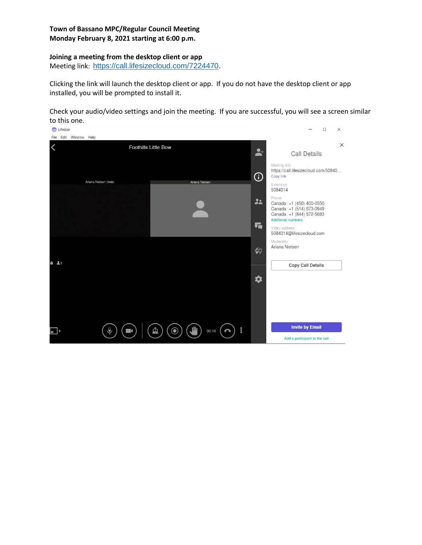### **Joining a meeting from the desktop client or app**

Meeting link: [https://call.lifesizecloud.com/7224470.](https://call.lifesizecloud.com/7224470)

Clicking the link will launch the desktop client or app. If you do not have the desktop client or app installed, you will be prompted to install it.

Check your audio/video settings and join the meeting. If you are successful, you will see a screen similar to this one.

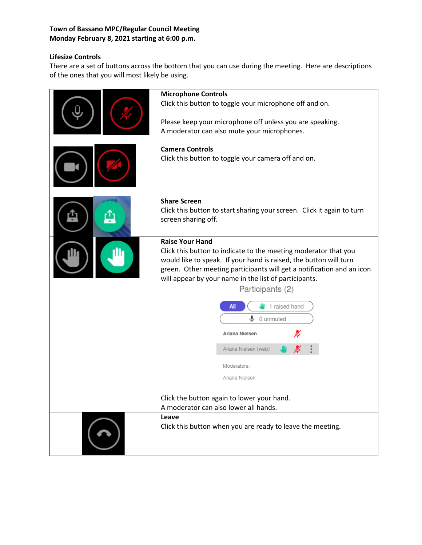# **Lifesize Controls**

There are a set of buttons across the bottom that you can use during the meeting. Here are descriptions of the ones that you will most likely be using.

| <b>Microphone Controls</b><br>Click this button to toggle your microphone off and on.<br>Please keep your microphone off unless you are speaking.<br>A moderator can also mute your microphones.<br><b>Camera Controls</b><br>Click this button to toggle your camera off and on.                                                                                                                                                                                                                                                |  |
|----------------------------------------------------------------------------------------------------------------------------------------------------------------------------------------------------------------------------------------------------------------------------------------------------------------------------------------------------------------------------------------------------------------------------------------------------------------------------------------------------------------------------------|--|
| <b>Share Screen</b><br>Click this button to start sharing your screen. Click it again to turn<br>screen sharing off.                                                                                                                                                                                                                                                                                                                                                                                                             |  |
| <b>Raise Your Hand</b><br>Click this button to indicate to the meeting moderator that you<br>would like to speak. If your hand is raised, the button will turn<br>green. Other meeting participants will get a notification and an icon<br>will appear by your name in the list of participants.<br>Participants (2)<br>1 raised hand<br>All<br>⋓<br>0 unmuted<br>Ariana Nielsen<br>Ariana Nielsen (web)<br>Moderators:<br>Ariana Nielsen<br>Click the button again to lower your hand.<br>A moderator can also lower all hands. |  |
| Leave<br>Click this button when you are ready to leave the meeting.                                                                                                                                                                                                                                                                                                                                                                                                                                                              |  |